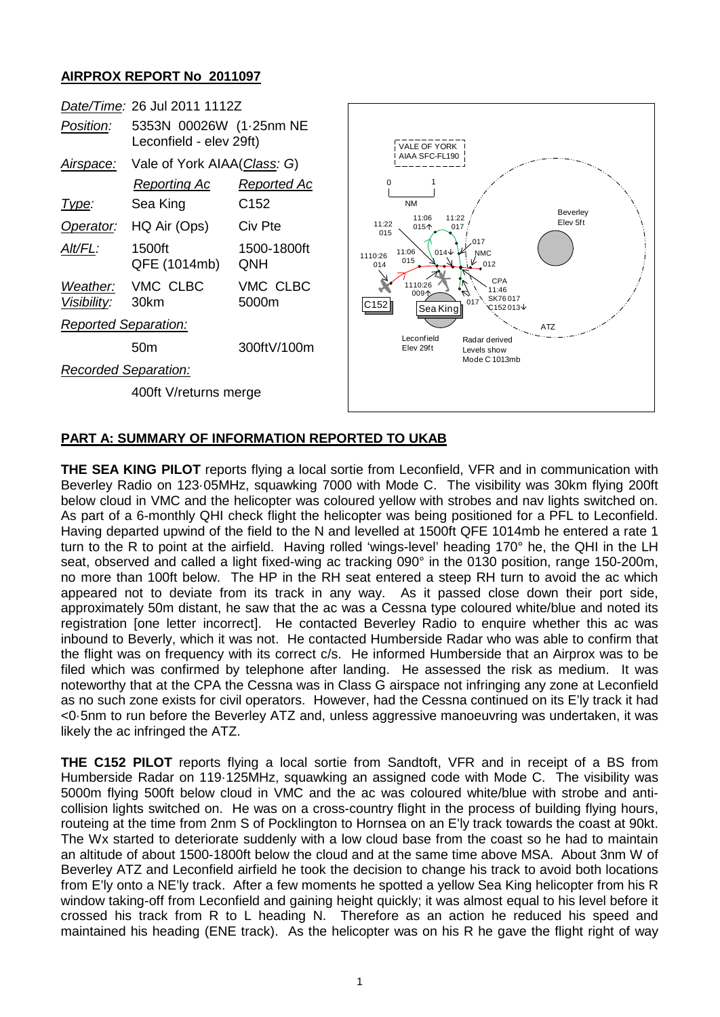## **AIRPROX REPORT No 2011097**

|                             | Date/Time: 26 Jul 2011 1112Z                       |                    |                                       |                                                                        |            |
|-----------------------------|----------------------------------------------------|--------------------|---------------------------------------|------------------------------------------------------------------------|------------|
| Position:                   | 5353N 00026W (1.25nm NE<br>Leconfield - elev 29ft) |                    | VALE OF YORK                          |                                                                        |            |
| <u>Airspace:</u>            | Vale of York AIAA(Class: G)                        |                    | AIAA SFC-FL190                        |                                                                        |            |
|                             | <b>Reporting Ac</b>                                | Reported Ac        | $\Omega$                              |                                                                        |            |
| Type:                       | Sea King                                           | C <sub>152</sub>   | <b>NM</b>                             |                                                                        | Beverley   |
| Operator:                   | HQ Air (Ops)                                       | Civ Pte            | 11:06<br>11:22<br>015个<br>015         | 11:22<br>017                                                           | Elev 5ft   |
| Alt/FL:                     | 1500ft<br>QFE (1014mb)                             | 1500-1800ft<br>QNH | 11:06<br>1110:26<br>015<br>014        | .017<br>$014\sqrt{ }$<br><b>NMC</b><br>$\frac{1}{2}$ 012               |            |
| Weather:<br>Visibility:     | VMC CLBC<br>30km                                   | VMC CLBC<br>5000m  | 1110:26<br>009'<br> C152 <br>Sea King | CPA<br>11:46<br>SK76017<br>$\mathcal{C}$ 152013 $\mathcal{\downarrow}$ |            |
| <b>Reported Separation:</b> |                                                    |                    |                                       |                                                                        | <b>ATZ</b> |
|                             | 50 <sub>m</sub>                                    | 300ftV/100m        | Leconfield<br>Elev 29ft               | Radar derived<br>Levels show                                           |            |
| <b>Recorded Separation:</b> |                                                    |                    |                                       | Mode C 1013mb                                                          |            |
| 400ft V/returns merge       |                                                    |                    |                                       |                                                                        |            |
|                             |                                                    |                    |                                       |                                                                        |            |

## **PART A: SUMMARY OF INFORMATION REPORTED TO UKAB**

**THE SEA KING PILOT** reports flying a local sortie from Leconfield, VFR and in communication with Beverley Radio on 123·05MHz, squawking 7000 with Mode C. The visibility was 30km flying 200ft below cloud in VMC and the helicopter was coloured yellow with strobes and nav lights switched on. As part of a 6-monthly QHI check flight the helicopter was being positioned for a PFL to Leconfield. Having departed upwind of the field to the N and levelled at 1500ft QFE 1014mb he entered a rate 1 turn to the R to point at the airfield. Having rolled 'wings-level' heading 170° he, the QHI in the LH seat, observed and called a light fixed-wing ac tracking 090° in the 0130 position, range 150-200m, no more than 100ft below. The HP in the RH seat entered a steep RH turn to avoid the ac which appeared not to deviate from its track in any way. As it passed close down their port side, approximately 50m distant, he saw that the ac was a Cessna type coloured white/blue and noted its registration [one letter incorrect]. He contacted Beverley Radio to enquire whether this ac was inbound to Beverly, which it was not. He contacted Humberside Radar who was able to confirm that the flight was on frequency with its correct c/s. He informed Humberside that an Airprox was to be filed which was confirmed by telephone after landing. He assessed the risk as medium. It was noteworthy that at the CPA the Cessna was in Class G airspace not infringing any zone at Leconfield as no such zone exists for civil operators. However, had the Cessna continued on its E'ly track it had <0·5nm to run before the Beverley ATZ and, unless aggressive manoeuvring was undertaken, it was likely the ac infringed the ATZ.

**THE C152 PILOT** reports flying a local sortie from Sandtoft, VFR and in receipt of a BS from Humberside Radar on 119·125MHz, squawking an assigned code with Mode C. The visibility was 5000m flying 500ft below cloud in VMC and the ac was coloured white/blue with strobe and anticollision lights switched on. He was on a cross-country flight in the process of building flying hours, routeing at the time from 2nm S of Pocklington to Hornsea on an E'ly track towards the coast at 90kt. The Wx started to deteriorate suddenly with a low cloud base from the coast so he had to maintain an altitude of about 1500-1800ft below the cloud and at the same time above MSA. About 3nm W of Beverley ATZ and Leconfield airfield he took the decision to change his track to avoid both locations from E'ly onto a NE'ly track. After a few moments he spotted a yellow Sea King helicopter from his R window taking-off from Leconfield and gaining height quickly; it was almost equal to his level before it crossed his track from R to L heading N. Therefore as an action he reduced his speed and maintained his heading (ENE track). As the helicopter was on his R he gave the flight right of way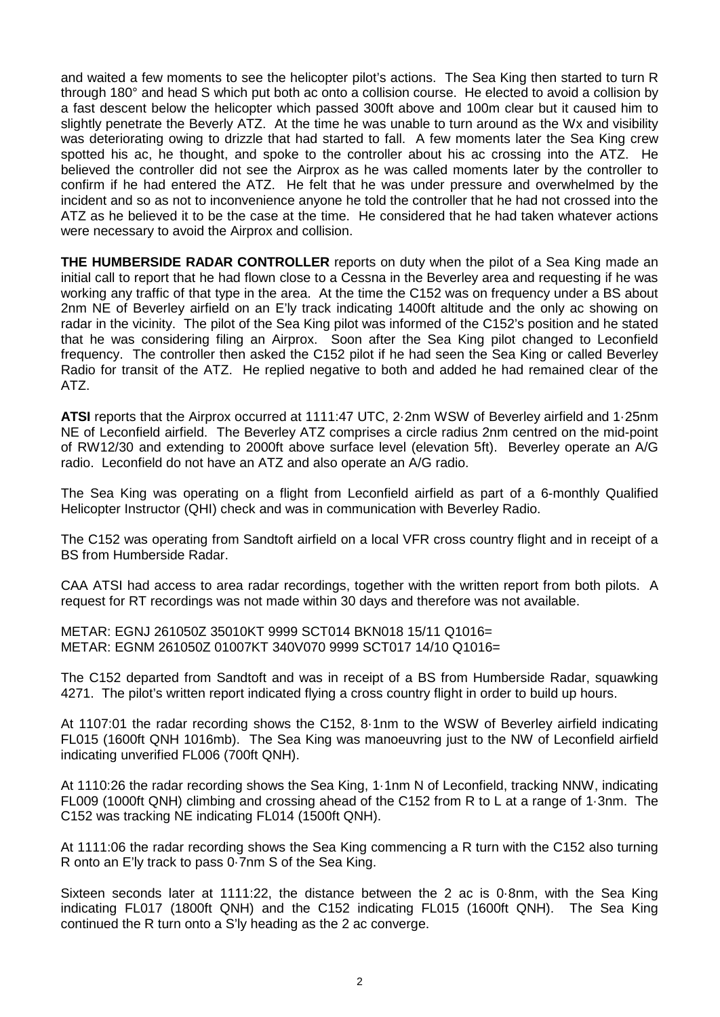and waited a few moments to see the helicopter pilot's actions. The Sea King then started to turn R through 180° and head S which put both ac onto a collision course. He elected to avoid a collision by a fast descent below the helicopter which passed 300ft above and 100m clear but it caused him to slightly penetrate the Beverly ATZ. At the time he was unable to turn around as the Wx and visibility was deteriorating owing to drizzle that had started to fall. A few moments later the Sea King crew spotted his ac, he thought, and spoke to the controller about his ac crossing into the ATZ. He believed the controller did not see the Airprox as he was called moments later by the controller to confirm if he had entered the ATZ. He felt that he was under pressure and overwhelmed by the incident and so as not to inconvenience anyone he told the controller that he had not crossed into the ATZ as he believed it to be the case at the time. He considered that he had taken whatever actions were necessary to avoid the Airprox and collision.

**THE HUMBERSIDE RADAR CONTROLLER** reports on duty when the pilot of a Sea King made an initial call to report that he had flown close to a Cessna in the Beverley area and requesting if he was working any traffic of that type in the area. At the time the C152 was on frequency under a BS about 2nm NE of Beverley airfield on an E'ly track indicating 1400ft altitude and the only ac showing on radar in the vicinity. The pilot of the Sea King pilot was informed of the C152's position and he stated that he was considering filing an Airprox. Soon after the Sea King pilot changed to Leconfield frequency. The controller then asked the C152 pilot if he had seen the Sea King or called Beverley Radio for transit of the ATZ. He replied negative to both and added he had remained clear of the ATZ.

**ATSI** reports that the Airprox occurred at 1111:47 UTC, 2·2nm WSW of Beverley airfield and 1·25nm NE of Leconfield airfield. The Beverley ATZ comprises a circle radius 2nm centred on the mid-point of RW12/30 and extending to 2000ft above surface level (elevation 5ft). Beverley operate an A/G radio. Leconfield do not have an ATZ and also operate an A/G radio.

The Sea King was operating on a flight from Leconfield airfield as part of a 6-monthly Qualified Helicopter Instructor (QHI) check and was in communication with Beverley Radio.

The C152 was operating from Sandtoft airfield on a local VFR cross country flight and in receipt of a BS from Humberside Radar.

CAA ATSI had access to area radar recordings, together with the written report from both pilots. A request for RT recordings was not made within 30 days and therefore was not available.

METAR: EGNJ 261050Z 35010KT 9999 SCT014 BKN018 15/11 Q1016= METAR: EGNM 261050Z 01007KT 340V070 9999 SCT017 14/10 Q1016=

The C152 departed from Sandtoft and was in receipt of a BS from Humberside Radar, squawking 4271. The pilot's written report indicated flying a cross country flight in order to build up hours.

At 1107:01 the radar recording shows the C152, 8·1nm to the WSW of Beverley airfield indicating FL015 (1600ft QNH 1016mb). The Sea King was manoeuvring just to the NW of Leconfield airfield indicating unverified FL006 (700ft QNH).

At 1110:26 the radar recording shows the Sea King, 1·1nm N of Leconfield, tracking NNW, indicating FL009 (1000ft QNH) climbing and crossing ahead of the C152 from R to L at a range of 1·3nm. The C152 was tracking NE indicating FL014 (1500ft QNH).

At 1111:06 the radar recording shows the Sea King commencing a R turn with the C152 also turning R onto an E'ly track to pass 0·7nm S of the Sea King.

Sixteen seconds later at 1111:22, the distance between the 2 ac is 0·8nm, with the Sea King indicating FL017 (1800ft QNH) and the C152 indicating FL015 (1600ft QNH). The Sea King continued the R turn onto a S'ly heading as the 2 ac converge.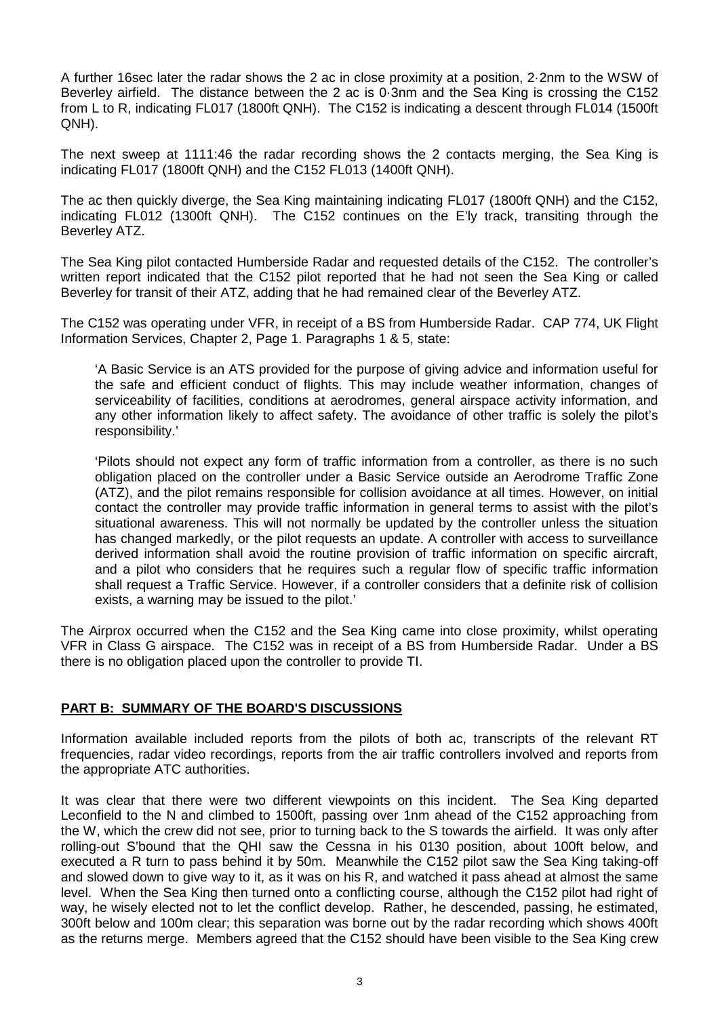A further 16sec later the radar shows the 2 ac in close proximity at a position, 2·2nm to the WSW of Beverley airfield. The distance between the 2 ac is 0·3nm and the Sea King is crossing the C152 from L to R, indicating FL017 (1800ft QNH). The C152 is indicating a descent through FL014 (1500ft QNH).

The next sweep at 1111:46 the radar recording shows the 2 contacts merging, the Sea King is indicating FL017 (1800ft QNH) and the C152 FL013 (1400ft QNH).

The ac then quickly diverge, the Sea King maintaining indicating FL017 (1800ft QNH) and the C152, indicating FL012 (1300ft QNH). The C152 continues on the E'ly track, transiting through the Beverley ATZ.

The Sea King pilot contacted Humberside Radar and requested details of the C152. The controller's written report indicated that the C152 pilot reported that he had not seen the Sea King or called Beverley for transit of their ATZ, adding that he had remained clear of the Beverley ATZ.

The C152 was operating under VFR, in receipt of a BS from Humberside Radar. CAP 774, UK Flight Information Services, Chapter 2, Page 1. Paragraphs 1 & 5, state:

'A Basic Service is an ATS provided for the purpose of giving advice and information useful for the safe and efficient conduct of flights. This may include weather information, changes of serviceability of facilities, conditions at aerodromes, general airspace activity information, and any other information likely to affect safety. The avoidance of other traffic is solely the pilot's responsibility.'

'Pilots should not expect any form of traffic information from a controller, as there is no such obligation placed on the controller under a Basic Service outside an Aerodrome Traffic Zone (ATZ), and the pilot remains responsible for collision avoidance at all times. However, on initial contact the controller may provide traffic information in general terms to assist with the pilot's situational awareness. This will not normally be updated by the controller unless the situation has changed markedly, or the pilot requests an update. A controller with access to surveillance derived information shall avoid the routine provision of traffic information on specific aircraft, and a pilot who considers that he requires such a regular flow of specific traffic information shall request a Traffic Service. However, if a controller considers that a definite risk of collision exists, a warning may be issued to the pilot.'

The Airprox occurred when the C152 and the Sea King came into close proximity, whilst operating VFR in Class G airspace. The C152 was in receipt of a BS from Humberside Radar. Under a BS there is no obligation placed upon the controller to provide TI.

## **PART B: SUMMARY OF THE BOARD'S DISCUSSIONS**

Information available included reports from the pilots of both ac, transcripts of the relevant RT frequencies, radar video recordings, reports from the air traffic controllers involved and reports from the appropriate ATC authorities.

It was clear that there were two different viewpoints on this incident. The Sea King departed Leconfield to the N and climbed to 1500ft, passing over 1nm ahead of the C152 approaching from the W, which the crew did not see, prior to turning back to the S towards the airfield. It was only after rolling-out S'bound that the QHI saw the Cessna in his 0130 position, about 100ft below, and executed a R turn to pass behind it by 50m. Meanwhile the C152 pilot saw the Sea King taking-off and slowed down to give way to it, as it was on his R, and watched it pass ahead at almost the same level. When the Sea King then turned onto a conflicting course, although the C152 pilot had right of way, he wisely elected not to let the conflict develop. Rather, he descended, passing, he estimated, 300ft below and 100m clear; this separation was borne out by the radar recording which shows 400ft as the returns merge. Members agreed that the C152 should have been visible to the Sea King crew